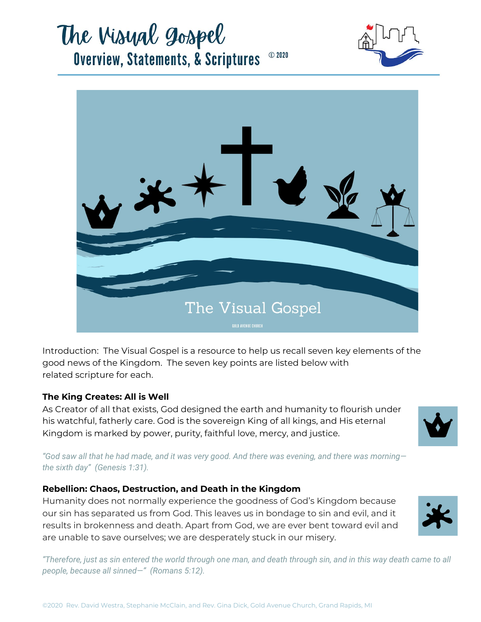# The Visual gospel **Overview, Statements, & Scriptures** © 2020





Introduction: The Visual Gospel is a resource to help us recall seven key elements of the good news of the Kingdom. The seven key points are listed below with related scripture for each.

## **The King Creates: All is Well**

As Creator of all that exists, God designed the earth and humanity to flourish under his watchful, fatherly care. God is the sovereign King of all kings, and His eternal Kingdom is marked by power, purity, faithful love, mercy, and justice.



*"God saw all that he had made, and it was very good. And there was evening, and there was morning the sixth day" (Genesis 1:31).*

### **Rebellion: Chaos, Destruction, and Death in the Kingdom**

Humanity does not normally experience the goodness of God's Kingdom because our sin has separated us from God. This leaves us in bondage to sin and evil, and it results in brokenness and death. Apart from God, we are ever bent toward evil and are unable to save ourselves; we are desperately stuck in our misery.



*"Therefore, just as sin entered the world through one man, and death through sin, and in this way death came to all people, because all sinned—" (Romans 5:12).*